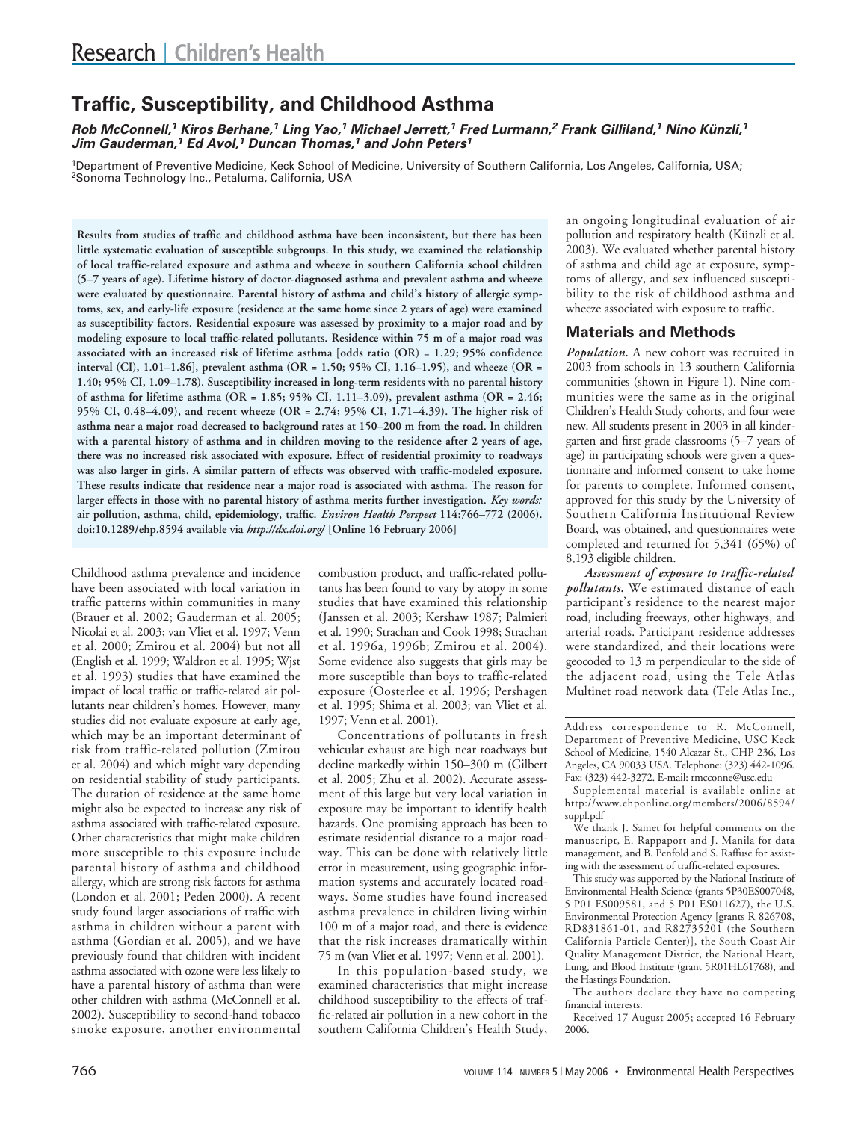# **Traffic, Susceptibility, and Childhood Asthma**

**Rob McConnell,<sup>1</sup> Kiros Berhane,<sup>1</sup> Ling Yao,<sup>1</sup> Michael Jerrett,<sup>1</sup> Fred Lurmann,<sup>2</sup> Frank Gilliland,<sup>1</sup> Nino Künzli,<sup>1</sup> Jim Gauderman,<sup>1</sup> Ed Avol,<sup>1</sup> Duncan Thomas,<sup>1</sup> and John Peters<sup>1</sup>**

1Department of Preventive Medicine, Keck School of Medicine, University of Southern California, Los Angeles, California, USA; 2Sonoma Technology Inc., Petaluma, California, USA

**Results from studies of traffic and childhood asthma have been inconsistent, but there has been little systematic evaluation of susceptible subgroups. In this study, we examined the relationship of local traffic-related exposure and asthma and wheeze in southern California school children (5–7 years of age). Lifetime history of doctor-diagnosed asthma and prevalent asthma and wheeze were evaluated by questionnaire. Parental history of asthma and child's history of allergic symptoms, sex, and early-life exposure (residence at the same home since 2 years of age) were examined as susceptibility factors. Residential exposure was assessed by proximity to a major road and by modeling exposure to local traffic-related pollutants. Residence within 75 m of a major road was associated with an increased risk of lifetime asthma [odds ratio (OR) = 1.29; 95% confidence interval (CI), 1.01–1.86], prevalent asthma (OR = 1.50; 95% CI, 1.16–1.95), and wheeze (OR = 1.40; 95% CI, 1.09–1.78). Susceptibility increased in long-term residents with no parental history of asthma for lifetime asthma (OR = 1.85; 95% CI, 1.11–3.09), prevalent asthma (OR = 2.46; 95% CI, 0.48–4.09), and recent wheeze (OR = 2.74; 95% CI, 1.71–4.39). The higher risk of asthma near a major road decreased to background rates at 150–200 m from the road. In children with a parental history of asthma and in children moving to the residence after 2 years of age, there was no increased risk associated with exposure. Effect of residential proximity to roadways was also larger in girls. A similar pattern of effects was observed with traffic-modeled exposure. These results indicate that residence near a major road is associated with asthma. The reason for larger effects in those with no parental history of asthma merits further investigation.** *Key words:* **air pollution, asthma, child, epidemiology, traffic.** *Environ Health Perspect* **114:766–772 (2006). doi:10.1289/ehp.8594 available via** *http://dx.doi.org/* **[Online 16 February 2006]**

Childhood asthma prevalence and incidence have been associated with local variation in traffic patterns within communities in many (Brauer et al. 2002; Gauderman et al. 2005; Nicolai et al. 2003; van Vliet et al. 1997; Venn et al. 2000; Zmirou et al. 2004) but not all (English et al. 1999; Waldron et al. 1995; Wjst et al. 1993) studies that have examined the impact of local traffic or traffic-related air pollutants near children's homes. However, many studies did not evaluate exposure at early age, which may be an important determinant of risk from traffic-related pollution (Zmirou et al. 2004) and which might vary depending on residential stability of study participants. The duration of residence at the same home might also be expected to increase any risk of asthma associated with traffic-related exposure. Other characteristics that might make children more susceptible to this exposure include parental history of asthma and childhood allergy, which are strong risk factors for asthma (London et al. 2001; Peden 2000). A recent study found larger associations of traffic with asthma in children without a parent with asthma (Gordian et al. 2005), and we have previously found that children with incident asthma associated with ozone were less likely to have a parental history of asthma than were other children with asthma (McConnell et al. 2002). Susceptibility to second-hand tobacco smoke exposure, another environmental

combustion product, and traffic-related pollutants has been found to vary by atopy in some studies that have examined this relationship (Janssen et al. 2003; Kershaw 1987; Palmieri et al. 1990; Strachan and Cook 1998; Strachan et al. 1996a, 1996b; Zmirou et al. 2004). Some evidence also suggests that girls may be more susceptible than boys to traffic-related exposure (Oosterlee et al. 1996; Pershagen et al. 1995; Shima et al. 2003; van Vliet et al. 1997; Venn et al. 2001).

Concentrations of pollutants in fresh vehicular exhaust are high near roadways but decline markedly within 150–300 m (Gilbert et al. 2005; Zhu et al. 2002). Accurate assessment of this large but very local variation in exposure may be important to identify health hazards. One promising approach has been to estimate residential distance to a major roadway. This can be done with relatively little error in measurement, using geographic information systems and accurately located roadways. Some studies have found increased asthma prevalence in children living within 100 m of a major road, and there is evidence that the risk increases dramatically within 75 m (van Vliet et al. 1997; Venn et al. 2001).

In this population-based study, we examined characteristics that might increase childhood susceptibility to the effects of traffic-related air pollution in a new cohort in the southern California Children's Health Study, an ongoing longitudinal evaluation of air pollution and respiratory health (Künzli et al. 2003). We evaluated whether parental history of asthma and child age at exposure, symptoms of allergy, and sex influenced susceptibility to the risk of childhood asthma and wheeze associated with exposure to traffic.

## **Materials and Methods**

*Population.* A new cohort was recruited in 2003 from schools in 13 southern California communities (shown in Figure 1). Nine communities were the same as in the original Children's Health Study cohorts, and four were new. All students present in 2003 in all kindergarten and first grade classrooms (5–7 years of age) in participating schools were given a questionnaire and informed consent to take home for parents to complete. Informed consent, approved for this study by the University of Southern California Institutional Review Board, was obtained, and questionnaires were completed and returned for 5,341 (65%) of 8,193 eligible children.

*Assessment of exposure to traffic-related pollutants.* We estimated distance of each participant's residence to the nearest major road, including freeways, other highways, and arterial roads. Participant residence addresses were standardized, and their locations were geocoded to 13 m perpendicular to the side of the adjacent road, using the Tele Atlas Multinet road network data (Tele Atlas Inc.,

We thank J. Samet for helpful comments on the manuscript, E. Rappaport and J. Manila for data management, and B. Penfold and S. Raffuse for assisting with the assessment of traffic-related exposures.

This study was supported by the National Institute of Environmental Health Science (grants 5P30ES007048, 5 P01 ES009581, and 5 P01 ES011627), the U.S. Environmental Protection Agency [grants R 826708, RD831861-01, and R82735201 (the Southern California Particle Center)], the South Coast Air Quality Management District, the National Heart, Lung, and Blood Institute (grant 5R01HL61768), and the Hastings Foundation.

The authors declare they have no competing financial interests.

Received 17 August 2005; accepted 16 February 2006.

Address correspondence to R. McConnell, Department of Preventive Medicine, USC Keck School of Medicine, 1540 Alcazar St., CHP 236, Los Angeles, CA 90033 USA. Telephone: (323) 442-1096. Fax: (323) 442-3272. E-mail: rmcconne@usc.edu

Supplemental material is available online at http://www.ehponline.org/members/2006/8594/ suppl.pdf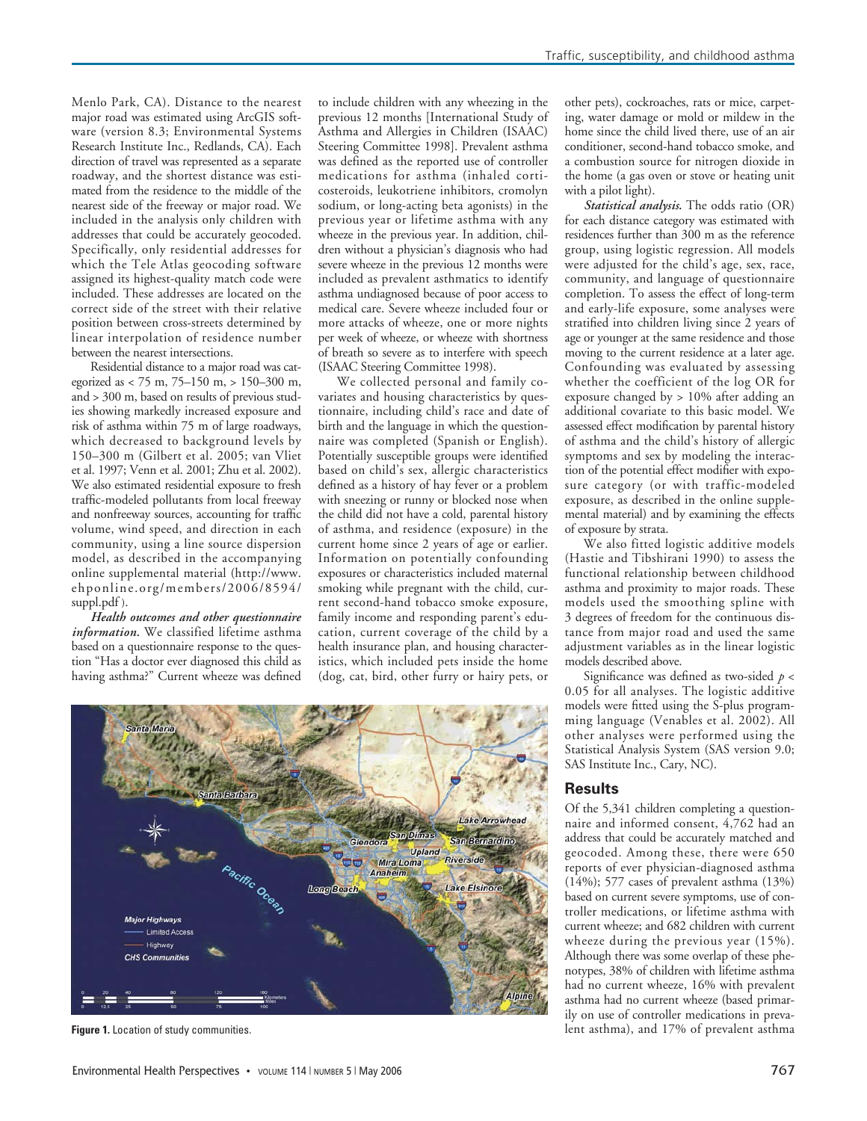Menlo Park, CA). Distance to the nearest major road was estimated using ArcGIS software (version 8.3; Environmental Systems Research Institute Inc., Redlands, CA). Each direction of travel was represented as a separate roadway, and the shortest distance was estimated from the residence to the middle of the nearest side of the freeway or major road. We included in the analysis only children with addresses that could be accurately geocoded. Specifically, only residential addresses for which the Tele Atlas geocoding software assigned its highest-quality match code were included. These addresses are located on the correct side of the street with their relative position between cross-streets determined by linear interpolation of residence number between the nearest intersections.

Residential distance to a major road was categorized as < 75 m, 75–150 m, > 150–300 m, and > 300 m, based on results of previous studies showing markedly increased exposure and risk of asthma within 75 m of large roadways, which decreased to background levels by 150–300 m (Gilbert et al. 2005; van Vliet et al. 1997; Venn et al. 2001; Zhu et al. 2002). We also estimated residential exposure to fresh traffic-modeled pollutants from local freeway and nonfreeway sources, accounting for traffic volume, wind speed, and direction in each community, using a line source dispersion model, as described in the accompanying online supplemental material (http://www. ehponline.org/members/2006/8594/ suppl.pdf ).

*Health outcomes and other questionnaire information.* We classified lifetime asthma based on a questionnaire response to the question "Has a doctor ever diagnosed this child as having asthma?" Current wheeze was defined

to include children with any wheezing in the previous 12 months [International Study of Asthma and Allergies in Children (ISAAC) Steering Committee 1998]. Prevalent asthma was defined as the reported use of controller medications for asthma (inhaled corticosteroids, leukotriene inhibitors, cromolyn sodium, or long-acting beta agonists) in the previous year or lifetime asthma with any wheeze in the previous year. In addition, children without a physician's diagnosis who had severe wheeze in the previous 12 months were included as prevalent asthmatics to identify asthma undiagnosed because of poor access to medical care. Severe wheeze included four or more attacks of wheeze, one or more nights per week of wheeze, or wheeze with shortness of breath so severe as to interfere with speech (ISAAC Steering Committee 1998).

We collected personal and family covariates and housing characteristics by questionnaire, including child's race and date of birth and the language in which the questionnaire was completed (Spanish or English). Potentially susceptible groups were identified based on child's sex, allergic characteristics defined as a history of hay fever or a problem with sneezing or runny or blocked nose when the child did not have a cold, parental history of asthma, and residence (exposure) in the current home since 2 years of age or earlier. Information on potentially confounding exposures or characteristics included maternal smoking while pregnant with the child, current second-hand tobacco smoke exposure, family income and responding parent's education, current coverage of the child by a health insurance plan, and housing characteristics, which included pets inside the home (dog, cat, bird, other furry or hairy pets, or

other pets), cockroaches, rats or mice, carpeting, water damage or mold or mildew in the home since the child lived there, use of an air conditioner, second-hand tobacco smoke, and a combustion source for nitrogen dioxide in the home (a gas oven or stove or heating unit with a pilot light).

*Statistical analysis.* The odds ratio (OR) for each distance category was estimated with residences further than 300 m as the reference group, using logistic regression. All models were adjusted for the child's age, sex, race, community, and language of questionnaire completion. To assess the effect of long-term and early-life exposure, some analyses were stratified into children living since 2 years of age or younger at the same residence and those moving to the current residence at a later age. Confounding was evaluated by assessing whether the coefficient of the log OR for exposure changed by > 10% after adding an additional covariate to this basic model. We assessed effect modification by parental history of asthma and the child's history of allergic symptoms and sex by modeling the interaction of the potential effect modifier with exposure category (or with traffic-modeled exposure, as described in the online supplemental material) and by examining the effects of exposure by strata.

We also fitted logistic additive models (Hastie and Tibshirani 1990) to assess the functional relationship between childhood asthma and proximity to major roads. These models used the smoothing spline with 3 degrees of freedom for the continuous distance from major road and used the same adjustment variables as in the linear logistic models described above.

Significance was defined as two-sided *p* < 0.05 for all analyses. The logistic additive models were fitted using the S-plus programming language (Venables et al. 2002). All other analyses were performed using the Statistical Analysis System (SAS version 9.0; SAS Institute Inc., Cary, NC).

### **Results**

Of the 5,341 children completing a questionnaire and informed consent, 4,762 had an address that could be accurately matched and geocoded. Among these, there were 650 reports of ever physician-diagnosed asthma (14%); 577 cases of prevalent asthma (13%) based on current severe symptoms, use of controller medications, or lifetime asthma with current wheeze; and 682 children with current wheeze during the previous year (15%). Although there was some overlap of these phenotypes, 38% of children with lifetime asthma had no current wheeze, 16% with prevalent asthma had no current wheeze (based primarily on use of controller medications in prevalent asthma), and 17% of prevalent asthma



**Figure 1.** Location of study communities.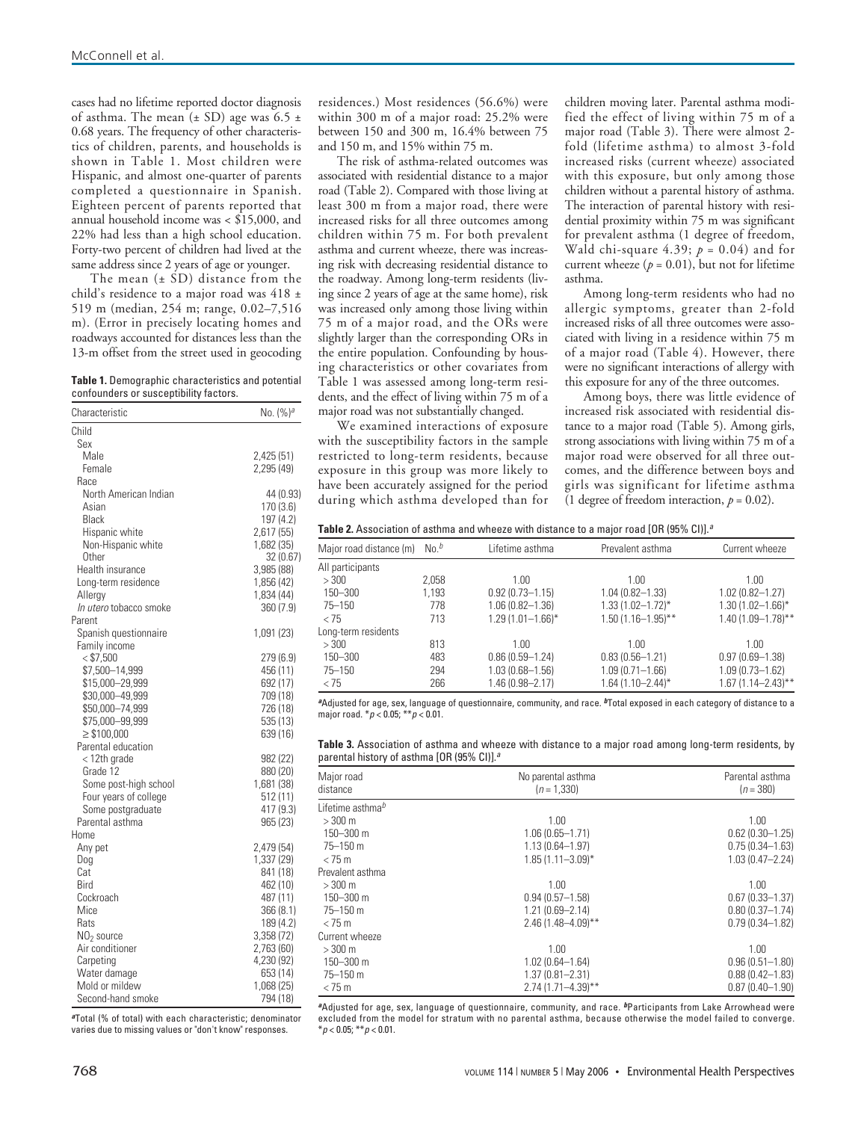cases had no lifetime reported doctor diagnosis of asthma. The mean  $(\pm SD)$  age was 6.5  $\pm$ 0.68 years. The frequency of other characteristics of children, parents, and households is shown in Table 1. Most children were Hispanic, and almost one-quarter of parents completed a questionnaire in Spanish. Eighteen percent of parents reported that annual household income was < \$15,000, and 22% had less than a high school education. Forty-two percent of children had lived at the same address since 2 years of age or younger.

The mean  $(\pm SD)$  distance from the child's residence to a major road was 418 ± 519 m (median, 254 m; range, 0.02–7,516 m). (Error in precisely locating homes and roadways accounted for distances less than the 13-m offset from the street used in geocoding

| Table 1. Demographic characteristics and potential |  |
|----------------------------------------------------|--|
| confounders or susceptibility factors.             |  |

| Characteristic                     | No. $(%)^a$          |
|------------------------------------|----------------------|
| Child                              |                      |
| Sex                                |                      |
| Male                               | 2,425 (51)           |
| Female                             | 2,295 (49)           |
| Race                               |                      |
| North American Indian              | 44 (0.93)            |
| Asian                              | 170 (3.6)            |
| Black                              | 197 (4.2)            |
| Hispanic white                     | 2,617 (55)           |
| Non-Hispanic white                 | 1,682 (35)           |
| Other                              | 32 (0.67)            |
| Health insurance                   | 3,985 (88)           |
| Long-term residence                | 1,856 (42)           |
| Allergy                            | 1,834 (44)           |
| <i>In utero</i> tobacco smoke      | 360 (7.9)            |
| Parent                             |                      |
| Spanish questionnaire              | 1,091 (23)           |
| Family income<br>$<$ \$7,500       |                      |
|                                    | 279 (6.9)            |
| \$7,500-14,999                     | 456 (11)             |
| \$15,000-29,999<br>\$30,000-49,999 | 692 (17)             |
| \$50,000-74,999                    | 709 (18)<br>726 (18) |
| \$75,000-99,999                    | 535 (13)             |
| $\geq$ \$100,000                   | 639 (16)             |
| Parental education                 |                      |
| < 12th grade                       | 982 (22)             |
| Grade 12                           | 880 (20)             |
| Some post-high school              | 1,681 (38)           |
| Four years of college              | 512 (11)             |
| Some postgraduate                  | 417 (9.3)            |
| Parental asthma                    | 965 (23)             |
| Home                               |                      |
| Any pet                            | 2,479 (54)           |
| Dog                                | 1,337 (29)           |
| Cat                                | 841 (18)             |
| Bird                               | 462 (10)             |
| Cockroach                          | 487 (11)             |
| Mice                               | 366(8.1)             |
| Rats                               | 189 (4.2)            |
| $NO2$ source                       | 3,358 (72)           |
| Air conditioner                    | 2,763 (60)           |
| Carpeting                          | 4,230 (92)           |
| Water damage                       | 653 (14)             |
| Mold or mildew                     | 1,068 (25)           |
| Second-hand smoke                  | 794 (18)             |

**<sup>a</sup>**Total (% of total) with each characteristic; denominator varies due to missing values or "don't know" responses.

residences.) Most residences (56.6%) were within 300 m of a major road: 25.2% were between 150 and 300 m, 16.4% between 75 and 150 m, and 15% within 75 m.

The risk of asthma-related outcomes was associated with residential distance to a major road (Table 2). Compared with those living at least 300 m from a major road, there were increased risks for all three outcomes among children within 75 m. For both prevalent asthma and current wheeze, there was increasing risk with decreasing residential distance to the roadway. Among long-term residents (living since 2 years of age at the same home), risk was increased only among those living within 75 m of a major road, and the ORs were slightly larger than the corresponding ORs in the entire population. Confounding by housing characteristics or other covariates from Table 1 was assessed among long-term residents, and the effect of living within 75 m of a major road was not substantially changed.

We examined interactions of exposure with the susceptibility factors in the sample restricted to long-term residents, because exposure in this group was more likely to have been accurately assigned for the period during which asthma developed than for

children moving later. Parental asthma modified the effect of living within 75 m of a major road (Table 3). There were almost 2 fold (lifetime asthma) to almost 3-fold increased risks (current wheeze) associated with this exposure, but only among those children without a parental history of asthma. The interaction of parental history with residential proximity within 75 m was significant for prevalent asthma (1 degree of freedom, Wald chi-square 4.39;  $p = 0.04$ ) and for current wheeze  $(p = 0.01)$ , but not for lifetime asthma.

Among long-term residents who had no allergic symptoms, greater than 2-fold increased risks of all three outcomes were associated with living in a residence within 75 m of a major road (Table 4). However, there were no significant interactions of allergy with this exposure for any of the three outcomes.

Among boys, there was little evidence of increased risk associated with residential distance to a major road (Table 5). Among girls, strong associations with living within 75 m of a major road were observed for all three outcomes, and the difference between boys and girls was significant for lifetime asthma (1 degree of freedom interaction,  $p = 0.02$ ).

| <b>Table 2.</b> Association of asthma and wheeze with distance to a major road [OR (95% CI)]. $^a$ |  |
|----------------------------------------------------------------------------------------------------|--|
|----------------------------------------------------------------------------------------------------|--|

| Major road distance (m) | $No.^b$ | Lifetime asthma       | Prevalent asthma        | Current wheeze          |
|-------------------------|---------|-----------------------|-------------------------|-------------------------|
| All participants        |         |                       |                         |                         |
| >300                    | 2,058   | 1.00                  | 1.00                    | 1.00                    |
| 150-300                 | 1.193   | $0.92(0.73 - 1.15)$   | $1.04(0.82 - 1.33)$     | $1.02(0.82 - 1.27)$     |
| $75 - 150$              | 778     | $1.06(0.82 - 1.36)$   | $1.33(1.02 - 1.72)^{*}$ | $1.30(1.02 - 1.66)^{*}$ |
| < 75                    | 713     | $1.29(1.01 - 1.66)$ * | $1.50(1.16 - 1.95)$ **  | $1.40(1.09 - 1.78)$ **  |
| Long-term residents     |         |                       |                         |                         |
| > 300                   | 813     | 1.00                  | 1.00                    | 1.00                    |
| 150 - 300               | 483     | $0.86(0.59 - 1.24)$   | $0.83(0.56 - 1.21)$     | $0.97(0.69 - 1.38)$     |
| $75 - 150$              | 294     | $1.03(0.68 - 1.56)$   | $1.09(0.71 - 1.66)$     | $1.09(0.73 - 1.62)$     |
| < 75                    | 266     | 1.46 (0.98-2.17)      | $1.64(1.10 - 2.44)^{*}$ | $1.67(1.14 - 2.43)$ **  |

**<sup>a</sup>**Adjusted for age, sex, language of questionnaire, community, and race. **<sup>b</sup>**Total exposed in each category of distance to a major road.  $*_{p}$  < 0.05;  $*_{p}$  < 0.01.

**Table 3.** Association of asthma and wheeze with distance to a major road among long-term residents, by parental history of asthma [OR (95% CI)]. $^a$ 

| Major road<br>distance       | No parental asthma<br>$(n = 1.330)$ |                     |
|------------------------------|-------------------------------------|---------------------|
| Lifetime asthma <sup>b</sup> |                                     |                     |
| $>300 \text{ m}$             | 1.00                                | 1.00                |
| $150 - 300$ m                | $1.06(0.65 - 1.71)$                 | $0.62(0.30 - 1.25)$ |
| $75 - 150$ m                 | $1.13(0.64 - 1.97)$                 | $0.75(0.34 - 1.63)$ |
| $<$ 75 m                     | $1.85(1.11 - 3.09)^{*}$             | $1.03(0.47 - 2.24)$ |
| Prevalent asthma             |                                     |                     |
| $>300$ m                     | 1.00                                | 1.00                |
| $150 - 300$ m                | $0.94(0.57 - 1.58)$                 | $0.67(0.33 - 1.37)$ |
| 75-150 m                     | $1.21(0.69 - 2.14)$                 | $0.80(0.37 - 1.74)$ |
| < 75 m                       | $2.46(1.48 - 4.09)$ **              | $0.79(0.34 - 1.82)$ |
| Current wheeze               |                                     |                     |
| $>300$ m                     | 1.00                                | 1.00                |
| $150 - 300$ m                | $1.02(0.64 - 1.64)$                 | $0.96(0.51 - 1.80)$ |
| $75 - 150$ m                 | $1.37(0.81 - 2.31)$                 | $0.88(0.42 - 1.83)$ |
| < 75 m                       | $2.74(1.71 - 4.39)$ **              | $0.87(0.40 - 1.90)$ |

**<sup>a</sup>**Adjusted for age, sex, language of questionnaire, community, and race. **<sup>b</sup>**Participants from Lake Arrowhead were excluded from the model for stratum with no parental asthma, because otherwise the model failed to converge.  $*$   $p$  < 0.05;  $*$  $*$   $p$  < 0.01.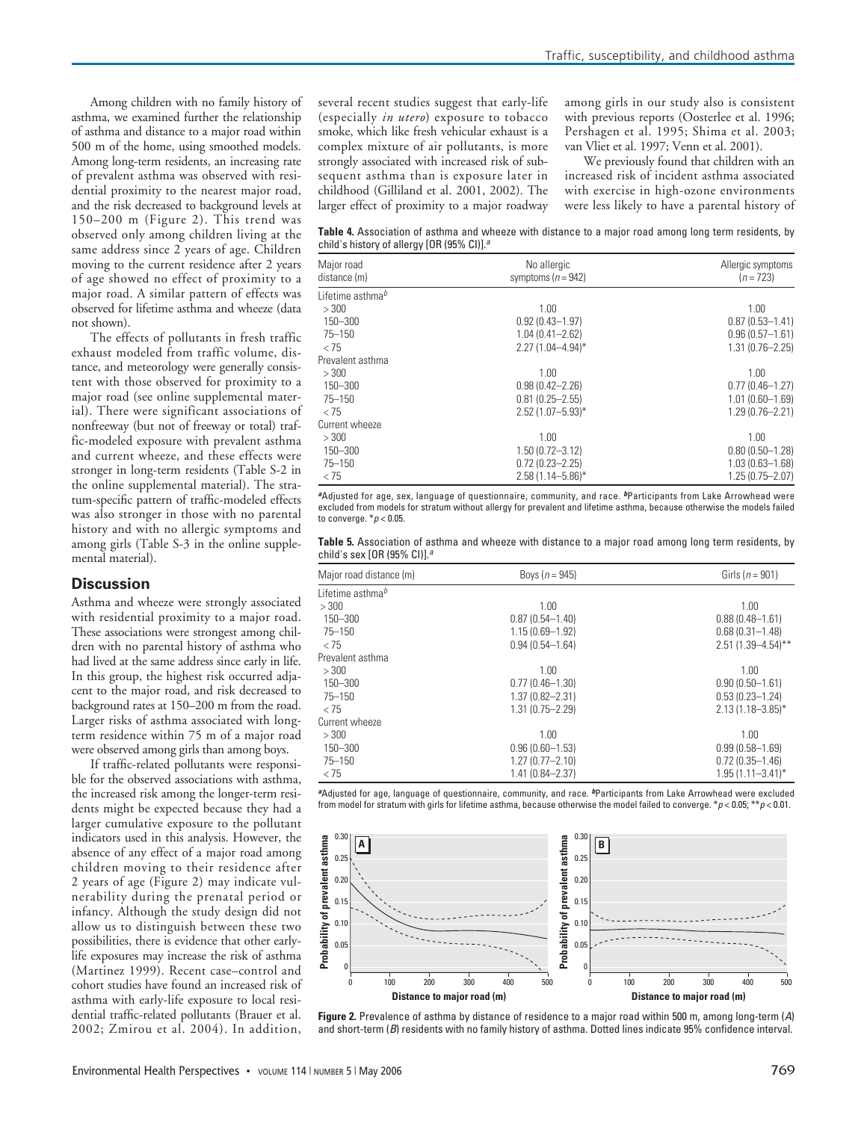Among children with no family history of asthma, we examined further the relationship of asthma and distance to a major road within 500 m of the home, using smoothed models. Among long-term residents, an increasing rate of prevalent asthma was observed with residential proximity to the nearest major road, and the risk decreased to background levels at 150–200 m (Figure 2). This trend was observed only among children living at the same address since 2 years of age. Children moving to the current residence after 2 years of age showed no effect of proximity to a major road. A similar pattern of effects was observed for lifetime asthma and wheeze (data not shown).

The effects of pollutants in fresh traffic exhaust modeled from traffic volume, distance, and meteorology were generally consistent with those observed for proximity to a major road (see online supplemental material). There were significant associations of nonfreeway (but not of freeway or total) traffic-modeled exposure with prevalent asthma and current wheeze, and these effects were stronger in long-term residents (Table S-2 in the online supplemental material). The stratum-specific pattern of traffic-modeled effects was also stronger in those with no parental history and with no allergic symptoms and among girls (Table S-3 in the online supplemental material).

## **Discussion**

Asthma and wheeze were strongly associated with residential proximity to a major road. These associations were strongest among children with no parental history of asthma who had lived at the same address since early in life. In this group, the highest risk occurred adjacent to the major road, and risk decreased to background rates at 150–200 m from the road. Larger risks of asthma associated with longterm residence within 75 m of a major road were observed among girls than among boys.

If traffic-related pollutants were responsible for the observed associations with asthma, the increased risk among the longer-term residents might be expected because they had a larger cumulative exposure to the pollutant indicators used in this analysis. However, the absence of any effect of a major road among children moving to their residence after 2 years of age (Figure 2) may indicate vulnerability during the prenatal period or infancy. Although the study design did not allow us to distinguish between these two possibilities, there is evidence that other earlylife exposures may increase the risk of asthma (Martinez 1999). Recent case–control and cohort studies have found an increased risk of asthma with early-life exposure to local residential traffic-related pollutants (Brauer et al. 2002; Zmirou et al. 2004). In addition,

several recent studies suggest that early-life (especially *in utero*) exposure to tobacco smoke, which like fresh vehicular exhaust is a complex mixture of air pollutants, is more strongly associated with increased risk of subsequent asthma than is exposure later in childhood (Gilliland et al. 2001, 2002). The larger effect of proximity to a major roadway

among girls in our study also is consistent with previous reports (Oosterlee et al. 1996; Pershagen et al. 1995; Shima et al. 2003; van Vliet et al. 1997; Venn et al. 2001).

We previously found that children with an increased risk of incident asthma associated with exercise in high-ozone environments were less likely to have a parental history of

**Table 4.** Association of asthma and wheeze with distance to a major road among long term residents, by child's history of allergy  $[OR (95\% CI)]^{a}$ 

| Major road<br>distance (m)   | No allergic<br>symptoms $(n = 942)$ | Allergic symptoms<br>$(n = 723)$ |  |  |
|------------------------------|-------------------------------------|----------------------------------|--|--|
| Lifetime asthma <sup>b</sup> |                                     |                                  |  |  |
| > 300                        | 1.00                                | 1.00.                            |  |  |
| 150-300                      | $0.92(0.43 - 1.97)$                 | $0.87(0.53 - 1.41)$              |  |  |
| $75 - 150$                   | $1.04(0.41 - 2.62)$                 | $0.96(0.57 - 1.61)$              |  |  |
| < 75                         | $2.27(1.04 - 4.94)^*$               | $1.31(0.76 - 2.25)$              |  |  |
| Prevalent asthma             |                                     |                                  |  |  |
| >300                         | 1.00                                | 1.00                             |  |  |
| 150-300                      | $0.98(0.42 - 2.26)$                 | $0.77(0.46 - 1.27)$              |  |  |
| $75 - 150$                   | $0.81(0.25 - 2.55)$                 | $1.01(0.60 - 1.69)$              |  |  |
| < 75                         | $2.52(1.07 - 5.93)^*$               | $1.29(0.76 - 2.21)$              |  |  |
| Current wheeze               |                                     |                                  |  |  |
| >300                         | 1.00                                | 1.00                             |  |  |
| 150-300                      | $1.50(0.72 - 3.12)$                 | $0.80(0.50 - 1.28)$              |  |  |
| $75 - 150$                   | $0.72(0.23 - 2.25)$                 | $1.03(0.63 - 1.68)$              |  |  |
| < 75                         | $2.58(1.14 - 5.86)^*$               | $1.25(0.75 - 2.07)$              |  |  |

**<sup>a</sup>**Adjusted for age, sex, language of questionnaire, community, and race. **<sup>b</sup>**Participants from Lake Arrowhead were excluded from models for stratum without allergy for prevalent and lifetime asthma, because otherwise the models failed to converge.  $*_p$  < 0.05.

| <b>Table 5.</b> Association of asthma and wheeze with distance to a major road among long term residents, by |  |  |  |  |  |  |  |
|--------------------------------------------------------------------------------------------------------------|--|--|--|--|--|--|--|
| child's sex [OR (95% CI)]. $^a$                                                                              |  |  |  |  |  |  |  |

| Major road distance (m) | Boys ( $n = 945$ )  | Girls ( $n = 901$ )     |
|-------------------------|---------------------|-------------------------|
| Lifetime asthma $b$     |                     |                         |
| > 300                   | 1.00                | 1.00                    |
| $150 - 300$             | $0.87(0.54 - 1.40)$ | $0.88(0.48 - 1.61)$     |
| $75 - 150$              | $1.15(0.69 - 1.92)$ | $0.68(0.31 - 1.48)$     |
| < 75                    | $0.94(0.54 - 1.64)$ | 2.51 (1.39-4.54)**      |
| Prevalent asthma        |                     |                         |
| >300                    | 1.00                | 1.00                    |
| 150-300                 | $0.77(0.46 - 1.30)$ | $0.90(0.50 - 1.61)$     |
| $75 - 150$              | $1.37(0.82 - 2.31)$ | $0.53(0.23 - 1.24)$     |
| < 75                    | $1.31(0.75 - 2.29)$ | $2.13(1.18 - 3.85)^*$   |
| Current wheeze          |                     |                         |
| > 300                   | 1.00                | 1.00                    |
| $150 - 300$             | $0.96(0.60 - 1.53)$ | $0.99(0.58 - 1.69)$     |
| $75 - 150$              | $1.27(0.77 - 2.10)$ | $0.72(0.35 - 1.46)$     |
| < 75                    | $1.41(0.84 - 2.37)$ | $1.95(1.11 - 3.41)^{*}$ |

**<sup>a</sup>**Adjusted for age, language of questionnaire, community, and race. **<sup>b</sup>**Participants from Lake Arrowhead were excluded from model for stratum with girls for lifetime asthma, because otherwise the model failed to converge.  $*p < 0.05$ ;  $**p < 0.01$ .



**Figure 2.** Prevalence of asthma by distance of residence to a major road within 500 m, among long-term (A) and short-term (B) residents with no family history of asthma. Dotted lines indicate 95% confidence interval.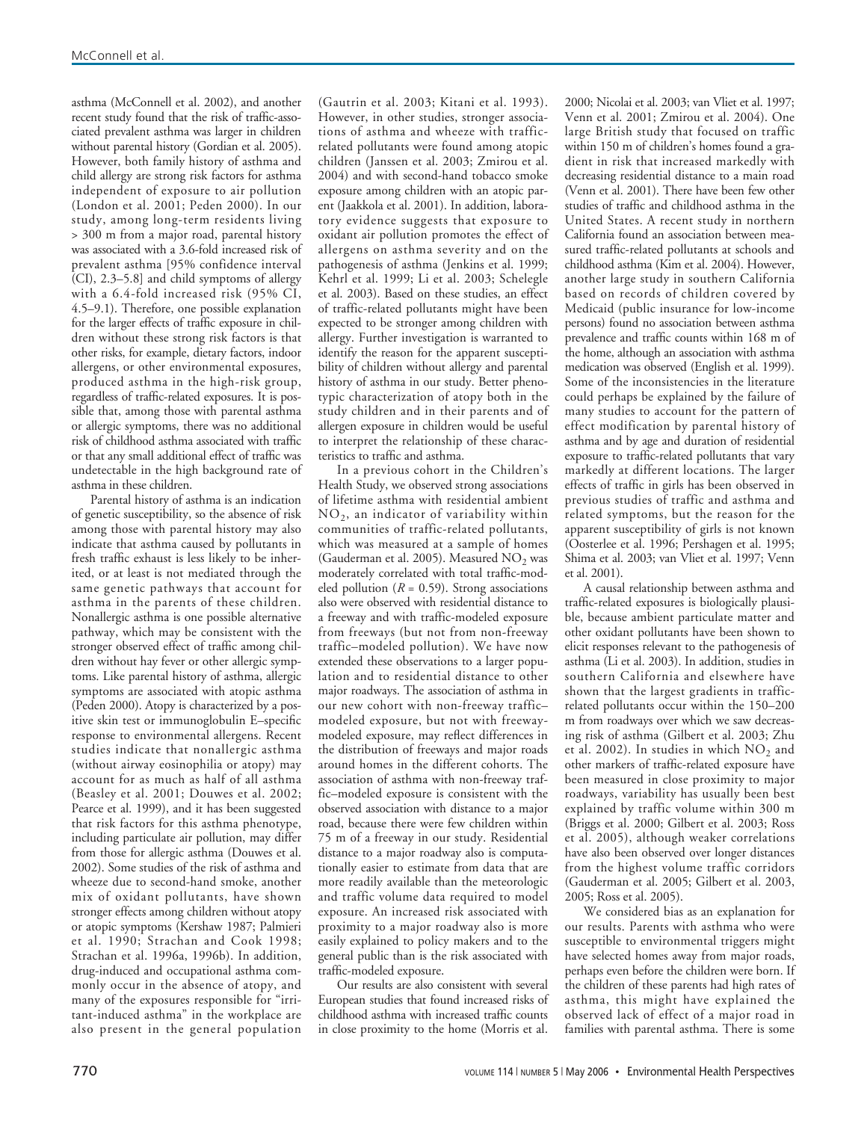asthma (McConnell et al. 2002), and another recent study found that the risk of traffic-associated prevalent asthma was larger in children without parental history (Gordian et al. 2005). However, both family history of asthma and child allergy are strong risk factors for asthma independent of exposure to air pollution (London et al. 2001; Peden 2000). In our study, among long-term residents living > 300 m from a major road, parental history was associated with a 3.6-fold increased risk of prevalent asthma [95% confidence interval (CI), 2.3–5.8] and child symptoms of allergy with a 6.4-fold increased risk (95% CI, 4.5–9.1). Therefore, one possible explanation for the larger effects of traffic exposure in children without these strong risk factors is that other risks, for example, dietary factors, indoor allergens, or other environmental exposures, produced asthma in the high-risk group, regardless of traffic-related exposures. It is possible that, among those with parental asthma or allergic symptoms, there was no additional risk of childhood asthma associated with traffic or that any small additional effect of traffic was undetectable in the high background rate of asthma in these children.

Parental history of asthma is an indication of genetic susceptibility, so the absence of risk among those with parental history may also indicate that asthma caused by pollutants in fresh traffic exhaust is less likely to be inherited, or at least is not mediated through the same genetic pathways that account for asthma in the parents of these children. Nonallergic asthma is one possible alternative pathway, which may be consistent with the stronger observed effect of traffic among children without hay fever or other allergic symptoms. Like parental history of asthma, allergic symptoms are associated with atopic asthma (Peden 2000). Atopy is characterized by a positive skin test or immunoglobulin E–specific response to environmental allergens. Recent studies indicate that nonallergic asthma (without airway eosinophilia or atopy) may account for as much as half of all asthma (Beasley et al. 2001; Douwes et al. 2002; Pearce et al. 1999), and it has been suggested that risk factors for this asthma phenotype, including particulate air pollution, may differ from those for allergic asthma (Douwes et al. 2002). Some studies of the risk of asthma and wheeze due to second-hand smoke, another mix of oxidant pollutants, have shown stronger effects among children without atopy or atopic symptoms (Kershaw 1987; Palmieri et al. 1990; Strachan and Cook 1998; Strachan et al. 1996a, 1996b). In addition, drug-induced and occupational asthma commonly occur in the absence of atopy, and many of the exposures responsible for "irritant-induced asthma" in the workplace are also present in the general population

(Gautrin et al. 2003; Kitani et al. 1993). However, in other studies, stronger associations of asthma and wheeze with trafficrelated pollutants were found among atopic children (Janssen et al. 2003; Zmirou et al. 2004) and with second-hand tobacco smoke exposure among children with an atopic parent (Jaakkola et al. 2001). In addition, laboratory evidence suggests that exposure to oxidant air pollution promotes the effect of allergens on asthma severity and on the pathogenesis of asthma (Jenkins et al. 1999; Kehrl et al. 1999; Li et al. 2003; Schelegle et al. 2003). Based on these studies, an effect of traffic-related pollutants might have been expected to be stronger among children with allergy. Further investigation is warranted to identify the reason for the apparent susceptibility of children without allergy and parental history of asthma in our study. Better phenotypic characterization of atopy both in the study children and in their parents and of allergen exposure in children would be useful to interpret the relationship of these characteristics to traffic and asthma.

In a previous cohort in the Children's Health Study, we observed strong associations of lifetime asthma with residential ambient NO2, an indicator of variability within communities of traffic-related pollutants, which was measured at a sample of homes (Gauderman et al. 2005). Measured  $NO<sub>2</sub>$  was moderately correlated with total traffic-modeled pollution ( $R = 0.59$ ). Strong associations also were observed with residential distance to a freeway and with traffic-modeled exposure from freeways (but not from non-freeway traffic–modeled pollution). We have now extended these observations to a larger population and to residential distance to other major roadways. The association of asthma in our new cohort with non-freeway traffic– modeled exposure, but not with freewaymodeled exposure, may reflect differences in the distribution of freeways and major roads around homes in the different cohorts. The association of asthma with non-freeway traffic–modeled exposure is consistent with the observed association with distance to a major road, because there were few children within 75 m of a freeway in our study. Residential distance to a major roadway also is computationally easier to estimate from data that are more readily available than the meteorologic and traffic volume data required to model exposure. An increased risk associated with proximity to a major roadway also is more easily explained to policy makers and to the general public than is the risk associated with traffic-modeled exposure.

Our results are also consistent with several European studies that found increased risks of childhood asthma with increased traffic counts in close proximity to the home (Morris et al.

2000; Nicolai et al. 2003; van Vliet et al. 1997; Venn et al. 2001; Zmirou et al. 2004). One large British study that focused on traffic within 150 m of children's homes found a gradient in risk that increased markedly with decreasing residential distance to a main road (Venn et al. 2001). There have been few other studies of traffic and childhood asthma in the United States. A recent study in northern California found an association between measured traffic-related pollutants at schools and childhood asthma (Kim et al. 2004). However, another large study in southern California based on records of children covered by Medicaid (public insurance for low-income persons) found no association between asthma prevalence and traffic counts within 168 m of the home, although an association with asthma medication was observed (English et al. 1999). Some of the inconsistencies in the literature could perhaps be explained by the failure of many studies to account for the pattern of effect modification by parental history of asthma and by age and duration of residential exposure to traffic-related pollutants that vary markedly at different locations. The larger effects of traffic in girls has been observed in previous studies of traffic and asthma and related symptoms, but the reason for the apparent susceptibility of girls is not known (Oosterlee et al. 1996; Pershagen et al. 1995; Shima et al. 2003; van Vliet et al. 1997; Venn et al. 2001).

A causal relationship between asthma and traffic-related exposures is biologically plausible, because ambient particulate matter and other oxidant pollutants have been shown to elicit responses relevant to the pathogenesis of asthma (Li et al. 2003). In addition, studies in southern California and elsewhere have shown that the largest gradients in trafficrelated pollutants occur within the 150–200 m from roadways over which we saw decreasing risk of asthma (Gilbert et al. 2003; Zhu et al. 2002). In studies in which  $NO<sub>2</sub>$  and other markers of traffic-related exposure have been measured in close proximity to major roadways, variability has usually been best explained by traffic volume within 300 m (Briggs et al. 2000; Gilbert et al. 2003; Ross et al. 2005), although weaker correlations have also been observed over longer distances from the highest volume traffic corridors (Gauderman et al. 2005; Gilbert et al. 2003, 2005; Ross et al. 2005).

We considered bias as an explanation for our results. Parents with asthma who were susceptible to environmental triggers might have selected homes away from major roads, perhaps even before the children were born. If the children of these parents had high rates of asthma, this might have explained the observed lack of effect of a major road in families with parental asthma. There is some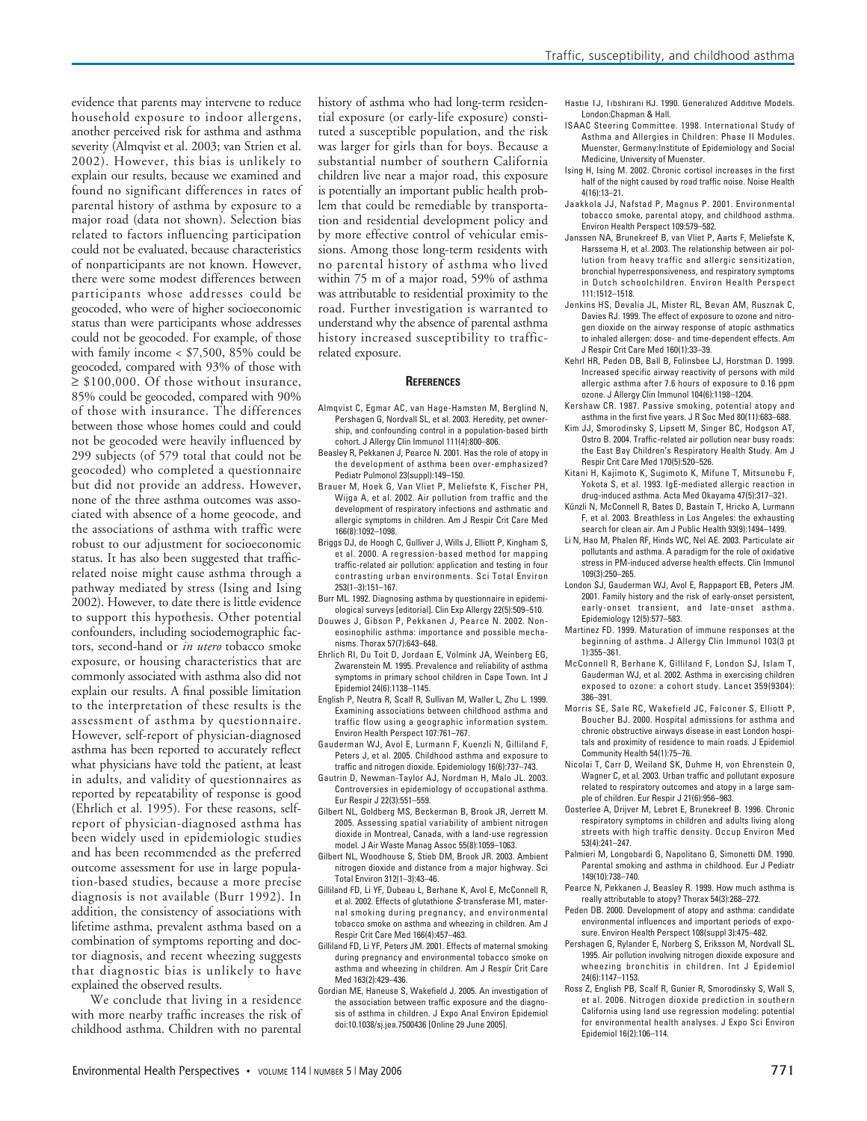evidence that parents may intervene to reduce household exposure to indoor allergens, another perceived risk for asthma and asthma severity (Almqvist et al. 2003; van Strien et al. 2002). However, this bias is unlikely to explain our results, because we examined and found no significant differences in rates of parental history of asthma by exposure to a major road (data not shown). Selection bias related to factors influencing participation could not be evaluated, because characteristics of nonparticipants are not known. However, there were some modest differences between participants whose addresses could be geocoded, who were of higher socioeconomic status than were participants whose addresses could not be geocoded. For example, of those with family income < \$7,500, 85% could be geocoded, compared with 93% of those with  $\geq$  \$100,000. Of those without insurance, 85% could be geocoded, compared with 90% of those with insurance. The differences between those whose homes could and could not be geocoded were heavily influenced by 299 subjects (of 579 total that could not be geocoded) who completed a questionnaire but did not provide an address. However, none of the three asthma outcomes was associated with absence of a home geocode, and the associations of asthma with traffic were robust to our adjustment for socioeconomic status. It has also been suggested that trafficrelated noise might cause asthma through a pathway mediated by stress (Ising and Ising 2002). However, to date there is little evidence to support this hypothesis. Other potential confounders, including sociodemographic factors, second-hand or *in utero* tobacco smoke exposure, or housing characteristics that are commonly associated with asthma also did not explain our results. A final possible limitation to the interpretation of these results is the assessment of asthma by questionnaire. However, self-report of physician-diagnosed asthma has been reported to accurately reflect what physicians have told the patient, at least in adults, and validity of questionnaires as reported by repeatability of response is good (Ehrlich et al. 1995). For these reasons, selfreport of physician-diagnosed asthma has been widely used in epidemiologic studies and has been recommended as the preferred outcome assessment for use in large population-based studies, because a more precise diagnosis is not available (Burr 1992). In addition, the consistency of associations with lifetime asthma, prevalent asthma based on a combination of symptoms reporting and doctor diagnosis, and recent wheezing suggests that diagnostic bias is unlikely to have explained the observed results.

We conclude that living in a residence with more nearby traffic increases the risk of childhood asthma. Children with no parental

history of asthma who had long-term residential exposure (or early-life exposure) constituted a susceptible population, and the risk was larger for girls than for boys. Because a substantial number of southern California children live near a major road, this exposure is potentially an important public health problem that could be remediable by transportation and residential development policy and by more effective control of vehicular emissions. Among those long-term residents with no parental history of asthma who lived within 75 m of a major road, 59% of asthma was attributable to residential proximity to the road. Further investigation is warranted to understand why the absence of parental asthma history increased susceptibility to trafficrelated exposure.

#### **REFERENCES**

- Almqvist C, Egmar AC, van Hage-Hamsten M, Berglind N, Pershagen G, Nordvall SL, et al. 2003. Heredity, pet ownership, and confounding control in a population-based birth cohort. J Allergy Clin Immunol 111(4):800–806.
- Beasley R, Pekkanen J, Pearce N. 2001. Has the role of atopy in the development of asthma been over-emphasized? Pediatr Pulmonol 23(suppl):149–150.
- Brauer M, Hoek G, Van Vliet P, Meliefste K, Fischer PH, Wijga A, et al. 2002. Air pollution from traffic and the development of respiratory infections and asthmatic and allergic symptoms in children. Am J Respir Crit Care Med 166(8):1092–1098.
- Briggs DJ, de Hoogh C, Gulliver J, Wills J, Elliott P, Kingham S, et al. 2000. A regression-based method for mapping traffic-related air pollution: application and testing in four contrasting urban environments. Sci Total Environ 253(1–3):151–167.
- Burr ML. 1992. Diagnosing asthma by questionnaire in epidemiological surveys [editorial]. Clin Exp Allergy 22(5):509–510.
- Douwes J, Gibson P, Pekkanen J, Pearce N. 2002. Noneosinophilic asthma: importance and possible mechanisms. Thorax 57(7):643–648.
- Ehrlich RI, Du Toit D, Jordaan E, Volmink JA, Weinberg EG, Zwarenstein M. 1995. Prevalence and reliability of asthma symptoms in primary school children in Cape Town. Int J Epidemiol 24(6):1138–1145.
- English P, Neutra R, Scalf R, Sullivan M, Waller L, Zhu L. 1999. Examining associations between childhood asthma and traffic flow using a geographic information system. Environ Health Perspect 107:761–767.
- Gauderman WJ, Avol E, Lurmann F, Kuenzli N, Gilliland F, Peters J, et al. 2005. Childhood asthma and exposure to traffic and nitrogen dioxide. Epidemiology 16(6):737–743.
- Gautrin D, Newman-Taylor AJ, Nordman H, Malo JL. 2003. Controversies in epidemiology of occupational asthma. Eur Respir J 22(3):551–559.
- Gilbert NL, Goldberg MS, Beckerman B, Brook JR, Jerrett M. 2005. Assessing spatial variability of ambient nitrogen dioxide in Montreal, Canada, with a land-use regression model. J Air Waste Manag Assoc 55(8):1059–1063.
- Gilbert NL, Woodhouse S, Stieb DM, Brook JR. 2003. Ambient nitrogen dioxide and distance from a major highway. Sci Total Environ 312(1–3):43–46.
- Gilliland FD, Li YF, Dubeau L, Berhane K, Avol E, McConnell R, et al. 2002. Effects of glutathione S-transferase M1, maternal smoking during pregnancy, and environmental tobacco smoke on asthma and wheezing in children. Am J Respir Crit Care Med 166(4):457–463.
- Gilliland FD, Li YF, Peters JM. 2001. Effects of maternal smoking during pregnancy and environmental tobacco smoke on asthma and wheezing in children. Am J Respir Crit Care Med 163(2):429–436.
- Gordian ME, Haneuse S, Wakefield J. 2005. An investigation of the association between traffic exposure and the diagnosis of asthma in children. J Expo Anal Environ Epidemiol doi:10.1038/sj.jea.7500436 [Online 29 June 2005].
- Hastie TJ, Tibshirani RJ. 1990. Generalized Additive Models. London:Chapman & Hall.
- ISAAC Steering Committee. 1998. International Study of Asthma and Allergies in Children: Phase II Modules. Muenster, Germany:Institute of Epidemiology and Social Medicine, University of Muenster.
- Ising H, Ising M. 2002. Chronic cortisol increases in the first half of the night caused by road traffic noise. Noise Health 4(16):13–21.
- Jaakkola JJ, Nafstad P, Magnus P. 2001. Environmental tobacco smoke, parental atopy, and childhood asthma. Environ Health Perspect 109:579–582.
- Janssen NA, Brunekreef B, van Vliet P, Aarts F, Meliefste K, Harssema H, et al. 2003. The relationship between air pollution from heavy traffic and allergic sensitization, bronchial hyperresponsiveness, and respiratory symptoms in Dutch schoolchildren. Environ Health Perspect 111:1512–1518.
- Jenkins HS, Devalia JL, Mister RL, Bevan AM, Rusznak C, Davies RJ. 1999. The effect of exposure to ozone and nitrogen dioxide on the airway response of atopic asthmatics to inhaled allergen: dose- and time-dependent effects. Am J Respir Crit Care Med 160(1):33–39.
- Kehrl HR, Peden DB, Ball B, Folinsbee LJ, Horstman D. 1999. Increased specific airway reactivity of persons with mild allergic asthma after 7.6 hours of exposure to 0.16 ppm ozone. J Allergy Clin Immunol 104(6):1198–1204.
- Kershaw CR. 1987. Passive smoking, potential atopy and asthma in the first five years. J R Soc Med 80(11):683–688.
- Kim JJ, Smorodinsky S, Lipsett M, Singer BC, Hodgson AT, Ostro B. 2004. Traffic-related air pollution near busy roads: the East Bay Children's Respiratory Health Study. Am J Respir Crit Care Med 170(5):520–526.
- Kitani H, Kajimoto K, Sugimoto K, Mifune T, Mitsunobu F, Yokota S, et al. 1993. IgE-mediated allergic reaction in drug-induced asthma. Acta Med Okayama 47(5):317–321.
- Künzli N, McConnell R, Bates D, Bastain T, Hricko A, Lurmann F, et al. 2003. Breathless in Los Angeles: the exhausting search for clean air. Am J Public Health 93(9):1494–1499.
- Li N, Hao M, Phalen RF, Hinds WC, Nel AE. 2003. Particulate air pollutants and asthma. A paradigm for the role of oxidative stress in PM-induced adverse health effects. Clin Immunol 109(3):250–265.
- London SJ, Gauderman WJ, Avol E, Rappaport EB, Peters JM. 2001. Family history and the risk of early-onset persistent, early-onset transient, and late-onset asthma. Epidemiology 12(5):577–583.
- Martinez FD. 1999. Maturation of immune responses at the beginning of asthma. J Allergy Clin Immunol 103(3 pt 1):355–361.
- McConnell R, Berhane K, Gilliland F, London SJ, Islam T, Gauderman WJ, et al. 2002. Asthma in exercising children exposed to ozone: a cohort study. Lancet 359(9304): 386–391.
- Morris SE, Sale RC, Wakefield JC, Falconer S, Elliott P, Boucher BJ. 2000. Hospital admissions for asthma and chronic obstructive airways disease in east London hospitals and proximity of residence to main roads. J Epidemiol Community Health 54(1):75–76.
- Nicolai T, Carr D, Weiland SK, Duhme H, von Ehrenstein O, Wagner C, et al. 2003. Urban traffic and pollutant exposure related to respiratory outcomes and atopy in a large sample of children. Eur Respir J 21(6):956–963.
- Oosterlee A, Drijver M, Lebret E, Brunekreef B. 1996. Chronic respiratory symptoms in children and adults living along streets with high traffic density. Occup Environ Med 53(4):241–247.
- Palmieri M, Longobardi G, Napolitano G, Simonetti DM. 1990. Parental smoking and asthma in childhood. Eur J Pediatr 149(10):738–740.
- Pearce N, Pekkanen J, Beasley R. 1999. How much asthma is really attributable to atopy? Thorax 54(3):268–272.
- Peden DB. 2000. Development of atopy and asthma: candidate environmental influences and important periods of exposure. Environ Health Perspect 108(suppl 3):475–482.
- Pershagen G, Rylander E, Norberg S, Eriksson M, Nordvall SL. 1995. Air pollution involving nitrogen dioxide exposure and wheezing bronchitis in children. Int J Epidemiol 24(6):1147–1153.
- Ross Z, English PB, Scalf R, Gunier R, Smorodinsky S, Wall S, et al. 2006. Nitrogen dioxide prediction in southern California using land use regression modeling: potential for environmental health analyses. J Expo Sci Environ Epidemiol 16(2):106–114.